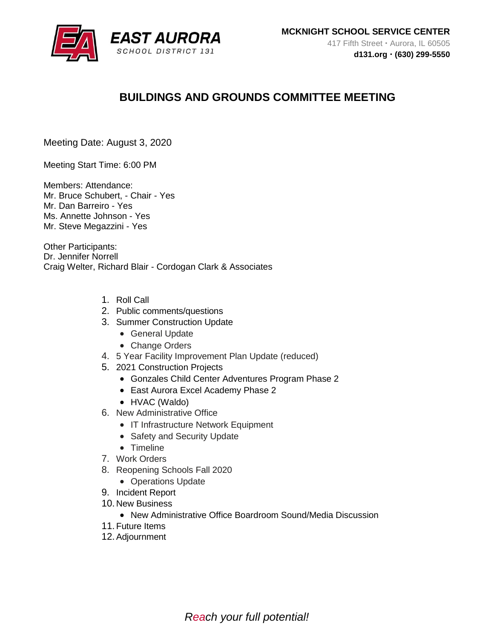

# **BUILDINGS AND GROUNDS COMMITTEE MEETING**

Meeting Date: August 3, 2020

Meeting Start Time: 6:00 PM

Members: Attendance: Mr. Bruce Schubert, - Chair - Yes Mr. Dan Barreiro - Yes Ms. Annette Johnson - Yes Mr. Steve Megazzini - Yes

Other Participants: Dr. Jennifer Norrell Craig Welter, Richard Blair - Cordogan Clark & Associates

- 1. Roll Call
- 2. Public comments/questions
- 3. Summer Construction Update
	- General Update
	- Change Orders
- 4. 5 Year Facility Improvement Plan Update (reduced)
- 5. 2021 Construction Projects
	- Gonzales Child Center Adventures Program Phase 2
	- East Aurora Excel Academy Phase 2
	- HVAC (Waldo)
- 6. New Administrative Office
	- IT Infrastructure Network Equipment
	- Safety and Security Update
	- Timeline
- 7. Work Orders
- 8. Reopening Schools Fall 2020
	- Operations Update
- 9. Incident Report
- 10. New Business
	- New Administrative Office Boardroom Sound/Media Discussion
- 11.Future Items
- 12.Adjournment

*Reach your full potential!*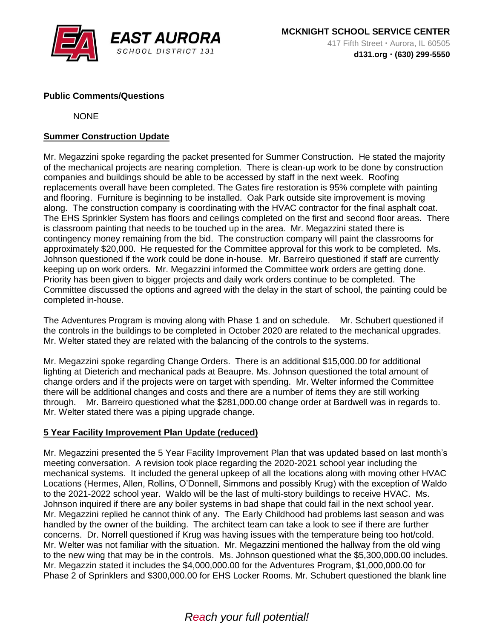

## **Public Comments/Questions**

**NONE** 

# **Summer Construction Update**

Mr. Megazzini spoke regarding the packet presented for Summer Construction. He stated the majority of the mechanical projects are nearing completion. There is clean-up work to be done by construction companies and buildings should be able to be accessed by staff in the next week. Roofing replacements overall have been completed. The Gates fire restoration is 95% complete with painting and flooring. Furniture is beginning to be installed. Oak Park outside site improvement is moving along. The construction company is coordinating with the HVAC contractor for the final asphalt coat. The EHS Sprinkler System has floors and ceilings completed on the first and second floor areas. There is classroom painting that needs to be touched up in the area. Mr. Megazzini stated there is contingency money remaining from the bid. The construction company will paint the classrooms for approximately \$20,000. He requested for the Committee approval for this work to be completed. Ms. Johnson questioned if the work could be done in-house. Mr. Barreiro questioned if staff are currently keeping up on work orders. Mr. Megazzini informed the Committee work orders are getting done. Priority has been given to bigger projects and daily work orders continue to be completed. The Committee discussed the options and agreed with the delay in the start of school, the painting could be completed in-house.

The Adventures Program is moving along with Phase 1 and on schedule. Mr. Schubert questioned if the controls in the buildings to be completed in October 2020 are related to the mechanical upgrades. Mr. Welter stated they are related with the balancing of the controls to the systems.

Mr. Megazzini spoke regarding Change Orders. There is an additional \$15,000.00 for additional lighting at Dieterich and mechanical pads at Beaupre. Ms. Johnson questioned the total amount of change orders and if the projects were on target with spending. Mr. Welter informed the Committee there will be additional changes and costs and there are a number of items they are still working through. Mr. Barreiro questioned what the \$281,000.00 change order at Bardwell was in regards to. Mr. Welter stated there was a piping upgrade change.

## **5 Year Facility Improvement Plan Update (reduced)**

Mr. Megazzini presented the 5 Year Facility Improvement Plan that was updated based on last month's meeting conversation. A revision took place regarding the 2020-2021 school year including the mechanical systems. It included the general upkeep of all the locations along with moving other HVAC Locations (Hermes, Allen, Rollins, O'Donnell, Simmons and possibly Krug) with the exception of Waldo to the 2021-2022 school year. Waldo will be the last of multi-story buildings to receive HVAC. Ms. Johnson inquired if there are any boiler systems in bad shape that could fail in the next school year. Mr. Megazzini replied he cannot think of any. The Early Childhood had problems last season and was handled by the owner of the building. The architect team can take a look to see if there are further concerns. Dr. Norrell questioned if Krug was having issues with the temperature being too hot/cold. Mr. Welter was not familiar with the situation. Mr. Megazzini mentioned the hallway from the old wing to the new wing that may be in the controls. Ms. Johnson questioned what the \$5,300,000.00 includes. Mr. Megazzin stated it includes the \$4,000,000.00 for the Adventures Program, \$1,000,000.00 for Phase 2 of Sprinklers and \$300,000.00 for EHS Locker Rooms. Mr. Schubert questioned the blank line

# *Reach your full potential!*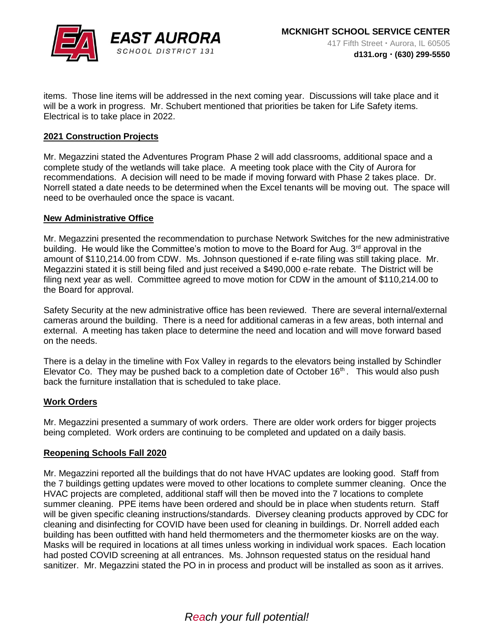

items. Those line items will be addressed in the next coming year. Discussions will take place and it will be a work in progress. Mr. Schubert mentioned that priorities be taken for Life Safety items. Electrical is to take place in 2022.

### **2021 Construction Projects**

Mr. Megazzini stated the Adventures Program Phase 2 will add classrooms, additional space and a complete study of the wetlands will take place. A meeting took place with the City of Aurora for recommendations. A decision will need to be made if moving forward with Phase 2 takes place. Dr. Norrell stated a date needs to be determined when the Excel tenants will be moving out. The space will need to be overhauled once the space is vacant.

### **New Administrative Office**

Mr. Megazzini presented the recommendation to purchase Network Switches for the new administrative building. He would like the Committee's motion to move to the Board for Aug. 3<sup>rd</sup> approval in the amount of \$110,214.00 from CDW. Ms. Johnson questioned if e-rate filing was still taking place. Mr. Megazzini stated it is still being filed and just received a \$490,000 e-rate rebate. The District will be filing next year as well. Committee agreed to move motion for CDW in the amount of \$110,214.00 to the Board for approval.

Safety Security at the new administrative office has been reviewed. There are several internal/external cameras around the building. There is a need for additional cameras in a few areas, both internal and external. A meeting has taken place to determine the need and location and will move forward based on the needs.

There is a delay in the timeline with Fox Valley in regards to the elevators being installed by Schindler Elevator Co. They may be pushed back to a completion date of October  $16<sup>th</sup>$ . This would also push back the furniture installation that is scheduled to take place.

### **Work Orders**

Mr. Megazzini presented a summary of work orders. There are older work orders for bigger projects being completed. Work orders are continuing to be completed and updated on a daily basis.

### **Reopening Schools Fall 2020**

Mr. Megazzini reported all the buildings that do not have HVAC updates are looking good. Staff from the 7 buildings getting updates were moved to other locations to complete summer cleaning. Once the HVAC projects are completed, additional staff will then be moved into the 7 locations to complete summer cleaning. PPE items have been ordered and should be in place when students return. Staff will be given specific cleaning instructions/standards. Diversey cleaning products approved by CDC for cleaning and disinfecting for COVID have been used for cleaning in buildings. Dr. Norrell added each building has been outfitted with hand held thermometers and the thermometer kiosks are on the way. Masks will be required in locations at all times unless working in individual work spaces. Each location had posted COVID screening at all entrances. Ms. Johnson requested status on the residual hand sanitizer. Mr. Megazzini stated the PO in in process and product will be installed as soon as it arrives.